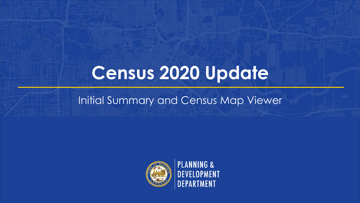# **Census 2020 Update**

#### Initial Summary and Census Map Viewer



**PLANNING &<br>DEVELOPMENT EPARTMENT**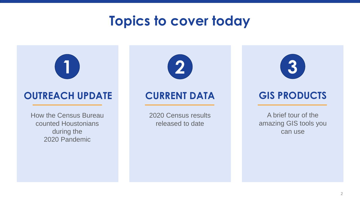#### **Topics to cover today**



#### **OUTREACH UPDATE CURRENT DATA GIS PRODUCTS**

How the Census Bureau counted Houstonians during the 2020 Pandemic



2020 Census results released to date



A brief tour of the amazing GIS tools you can use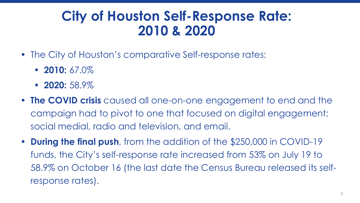#### **City of Houston Self-Response Rate: 2010 & 2020**

- The City of Houston's comparative Self-response rates:
	- **2010:** 67.0%
	- **2020:** 58.9%
- **The COVID crisis** caused all one-on-one engagement to end and the campaign had to pivot to one that focused on digital engagement: social medial, radio and television, and email.
- **During the final push**, from the addition of the \$250,000 in COVID-19 funds, the City's self-response rate increased from 53% on July 19 to 58.9% on October 16 (the last date the Census Bureau released its selfresponse rates).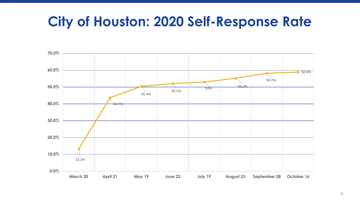#### **City of Houston: 2020 Self-Response Rate**

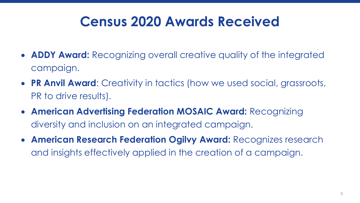## **Census 2020 Awards Received**

- **ADDY Award:** Recognizing overall creative quality of the integrated campaign.
- **PR Anvil Award**: Creativity in tactics (how we used social, grassroots, PR to drive results).
- **American Advertising Federation MOSAIC Award:** Recognizing diversity and inclusion on an integrated campaign.
- **American Research Federation Ogilvy Award:** Recognizes research and insights effectively applied in the creation of a campaign.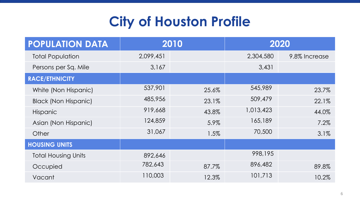## **City of Houston Profile**

| <b>POPULATION DATA</b>      |           | 2010  |           | 2020          |
|-----------------------------|-----------|-------|-----------|---------------|
| <b>Total Population</b>     | 2,099,451 |       | 2,304,580 | 9.8% Increase |
| Persons per Sq. Mile        | 3,167     |       | 3,431     |               |
| <b>RACE/ETHNICITY</b>       |           |       |           |               |
| White (Non Hispanic)        | 537,901   | 25.6% | 545,989   | 23.7%         |
| <b>Black (Non Hispanic)</b> | 485,956   | 23.1% | 509,479   | 22.1%         |
| <b>Hispanic</b>             | 919,668   | 43.8% | 1,013,423 | 44.0%         |
| Asian (Non Hispanic)        | 124,859   | 5.9%  | 165,189   | 7.2%          |
| Other                       | 31,067    | 1.5%  | 70,500    | 3.1%          |
| <b>HOUSING UNITS</b>        |           |       |           |               |
| <b>Total Housing Units</b>  | 892,646   |       | 998,195   |               |
| Occupied                    | 782,643   | 87.7% | 896,482   | 89.8%         |
| Vacant                      | 110,003   | 12.3% | 101,713   | 10.2%         |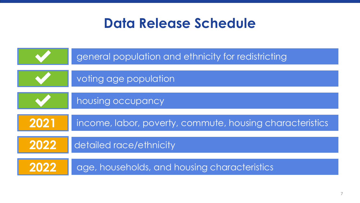#### **Data Release Schedule**

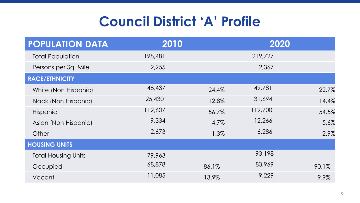## **Council District 'A' Profile**

| <b>POPULATION DATA</b>      |         | 2010  |         | 2020  |
|-----------------------------|---------|-------|---------|-------|
| <b>Total Population</b>     | 198,481 |       | 219,727 |       |
| Persons per Sq. Mile        | 2,255   |       | 2,367   |       |
| <b>RACE/ETHNICITY</b>       |         |       |         |       |
| White (Non Hispanic)        | 48,437  | 24.4% | 49,781  | 22.7% |
| <b>Black (Non Hispanic)</b> | 25,430  | 12.8% | 31,694  | 14.4% |
| <b>Hispanic</b>             | 112,607 | 56.7% | 119,700 | 54.5% |
| Asian (Non Hispanic)        | 9,334   | 4.7%  | 12,266  | 5.6%  |
| Other                       | 2,673   | 1.3%  | 6,286   | 2.9%  |
| <b>HOUSING UNITS</b>        |         |       |         |       |
| <b>Total Housing Units</b>  | 79,963  |       | 93,198  |       |
| Occupied                    | 68,878  | 86.1% | 83,969  | 90.1% |
| Vacant                      | 11,085  | 13.9% | 9,229   | 9.9%  |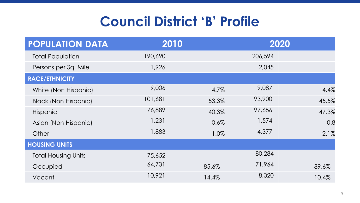## **Council District 'B' Profile**

| <b>POPULATION DATA</b>      |         | 2010  |         | 2020  |
|-----------------------------|---------|-------|---------|-------|
| <b>Total Population</b>     | 190,690 |       | 206,594 |       |
| Persons per Sq. Mile        | 1,926   |       | 2,045   |       |
| <b>RACE/ETHNICITY</b>       |         |       |         |       |
| White (Non Hispanic)        | 9,006   | 4.7%  | 9,087   | 4.4%  |
| <b>Black (Non Hispanic)</b> | 101,681 | 53.3% | 93,900  | 45.5% |
| <b>Hispanic</b>             | 76,889  | 40.3% | 97,656  | 47.3% |
| Asian (Non Hispanic)        | 1,231   | 0.6%  | 1,574   | 0.8   |
| Other                       | 1,883   | 1.0%  | 4,377   | 2.1%  |
| <b>HOUSING UNITS</b>        |         |       |         |       |
| <b>Total Housing Units</b>  | 75,652  |       | 80,284  |       |
| Occupied                    | 64,731  | 85.6% | 71,964  | 89.6% |
| Vacant                      | 10,921  | 14.4% | 8,320   | 10.4% |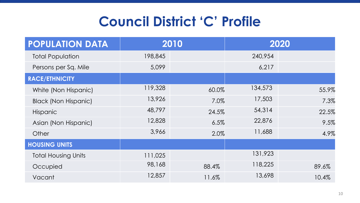#### **Council District 'C' Profile**

| <b>POPULATION DATA</b>      |         | 2010  |         | 2020  |
|-----------------------------|---------|-------|---------|-------|
| <b>Total Population</b>     | 198,845 |       | 240,954 |       |
| Persons per Sq. Mile        | 5,099   |       | 6,217   |       |
| <b>RACE/ETHNICITY</b>       |         |       |         |       |
| White (Non Hispanic)        | 119,328 | 60.0% | 134,573 | 55.9% |
| <b>Black (Non Hispanic)</b> | 13,926  | 7.0%  | 17,503  | 7.3%  |
| <b>Hispanic</b>             | 48,797  | 24.5% | 54,314  | 22.5% |
| Asian (Non Hispanic)        | 12,828  | 6.5%  | 22,876  | 9.5%  |
| Other                       | 3,966   | 2.0%  | 11,688  | 4.9%  |
| <b>HOUSING UNITS</b>        |         |       |         |       |
| <b>Total Housing Units</b>  | 111,025 |       | 131,923 |       |
| Occupied                    | 98,168  | 88.4% | 118,225 | 89.6% |
| Vacant                      | 12,857  | 11.6% | 13,698  | 10.4% |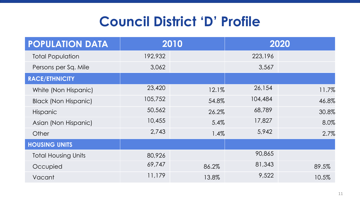## **Council District 'D' Profile**

| <b>POPULATION DATA</b>      |         | 2010  |         | 2020  |
|-----------------------------|---------|-------|---------|-------|
| <b>Total Population</b>     | 192,932 |       | 223,196 |       |
| Persons per Sq. Mile        | 3,062   |       | 3,567   |       |
| <b>RACE/ETHNICITY</b>       |         |       |         |       |
| White (Non Hispanic)        | 23,420  | 12.1% | 26,154  | 11.7% |
| <b>Black (Non Hispanic)</b> | 105,752 | 54.8% | 104,484 | 46.8% |
| <b>Hispanic</b>             | 50,562  | 26.2% | 68,789  | 30.8% |
| Asian (Non Hispanic)        | 10,455  | 5.4%  | 17,827  | 8.0%  |
| Other                       | 2,743   | 1.4%  | 5,942   | 2.7%  |
| <b>HOUSING UNITS</b>        |         |       |         |       |
| <b>Total Housing Units</b>  | 80,926  |       | 90,865  |       |
| Occupied                    | 69,747  | 86.2% | 81,343  | 89.5% |
| Vacant                      | 11,179  | 13.8% | 9,522   | 10.5% |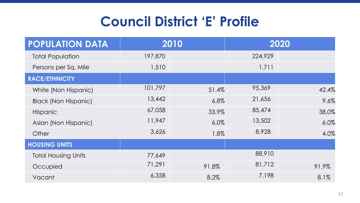## **Council District 'E' Profile**

| <b>POPULATION DATA</b>      |         | 2010  |         | 2020  |
|-----------------------------|---------|-------|---------|-------|
| <b>Total Population</b>     | 197,870 |       | 224,929 |       |
| Persons per Sq. Mile        | 1,510   |       | 1,711   |       |
| <b>RACE/ETHNICITY</b>       |         |       |         |       |
| White (Non Hispanic)        | 101,797 | 51.4% | 95,369  | 42.4% |
| <b>Black (Non Hispanic)</b> | 13,442  | 6.8%  | 21,656  | 9.6%  |
| <b>Hispanic</b>             | 67,058  | 33.9% | 85,474  | 38.0% |
| Asian (Non Hispanic)        | 11,947  | 6.0%  | 13,502  | 6.0%  |
| Other                       | 3,626   | 1.8%  | 8,928   | 4.0%  |
| <b>HOUSING UNITS</b>        |         |       |         |       |
| <b>Total Housing Units</b>  | 77,649  |       | 88,910  |       |
| Occupied                    | 71,291  | 91.8% | 81,712  | 91.9% |
| Vacant                      | 6,358   | 8.2%  | 7,198   | 8.1%  |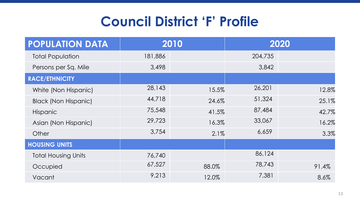### **Council District 'F' Profile**

| <b>POPULATION DATA</b>      |         | 2010  |         | 2020  |
|-----------------------------|---------|-------|---------|-------|
| <b>Total Population</b>     | 181,886 |       | 204,735 |       |
| Persons per Sq. Mile        | 3,498   |       | 3,842   |       |
| <b>RACE/ETHNICITY</b>       |         |       |         |       |
| White (Non Hispanic)        | 28,143  | 15.5% | 26,201  | 12.8% |
| <b>Black (Non Hispanic)</b> | 44,718  | 24.6% | 51,324  | 25.1% |
| <b>Hispanic</b>             | 75,548  | 41.5% | 87,484  | 42.7% |
| Asian (Non Hispanic)        | 29,723  | 16.3% | 33,067  | 16.2% |
| Other                       | 3,754   | 2.1%  | 6,659   | 3.3%  |
| <b>HOUSING UNITS</b>        |         |       |         |       |
| <b>Total Housing Units</b>  | 76,740  |       | 86,124  |       |
| Occupied                    | 67,527  | 88.0% | 78,743  | 91.4% |
| Vacant                      | 9,213   | 12.0% | 7,381   | 8.6%  |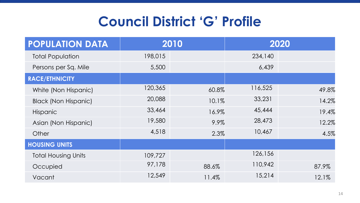## **Council District 'G' Profile**

| <b>POPULATION DATA</b>      |         | 2010  |         | 2020  |
|-----------------------------|---------|-------|---------|-------|
| <b>Total Population</b>     | 198,015 |       | 234,140 |       |
| Persons per Sq. Mile        | 5,500   |       | 6,439   |       |
| <b>RACE/ETHNICITY</b>       |         |       |         |       |
| White (Non Hispanic)        | 120,365 | 60.8% | 116,525 | 49.8% |
| <b>Black (Non Hispanic)</b> | 20,088  | 10.1% | 33,231  | 14.2% |
| <b>Hispanic</b>             | 33,464  | 16.9% | 45,444  | 19.4% |
| Asian (Non Hispanic)        | 19,580  | 9.9%  | 28,473  | 12.2% |
| Other                       | 4,518   | 2.3%  | 10,467  | 4.5%  |
| <b>HOUSING UNITS</b>        |         |       |         |       |
| <b>Total Housing Units</b>  | 109,727 |       | 126,156 |       |
| Occupied                    | 97,178  | 88.6% | 110,942 | 87.9% |
| Vacant                      | 12,549  | 11.4% | 15,214  | 12.1% |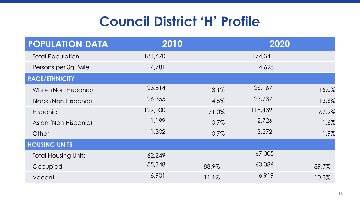## **Council District 'H' Profile**

| <b>POPULATION DATA</b>      |         | 2010  |         | 2020  |
|-----------------------------|---------|-------|---------|-------|
| <b>Total Population</b>     | 181,670 |       | 174,341 |       |
| Persons per Sq. Mile        | 4,781   |       | 4,628   |       |
| <b>RACE/ETHNICITY</b>       |         |       |         |       |
| White (Non Hispanic)        | 23,814  | 13.1% | 26,167  | 15.0% |
| <b>Black (Non Hispanic)</b> | 26,355  | 14.5% | 23,737  | 13.6% |
| <b>Hispanic</b>             | 129,000 | 71.0% | 118,439 | 67.9% |
| Asian (Non Hispanic)        | 1,199   | 0.7%  | 2,726   | 1.6%  |
| Other                       | 1,302   | 0.7%  | 3,272   | 1.9%  |
| <b>HOUSING UNITS</b>        |         |       |         |       |
| <b>Total Housing Units</b>  | 62,249  |       | 67,005  |       |
| Occupied                    | 55,348  | 88.9% | 60,086  | 89.7% |
| Vacant                      | 6,901   | 11.1% | 6,919   | 10.3% |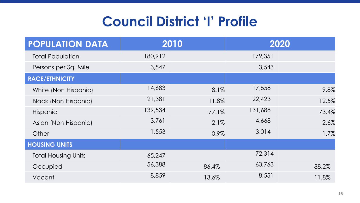## **Council District 'I' Profile**

| <b>POPULATION DATA</b>      |         | 2010  |         | 2020  |
|-----------------------------|---------|-------|---------|-------|
| <b>Total Population</b>     | 180,912 |       | 179,351 |       |
| Persons per Sq. Mile        | 3,547   |       | 3,543   |       |
| <b>RACE/ETHNICITY</b>       |         |       |         |       |
| White (Non Hispanic)        | 14,683  | 8.1%  | 17,558  | 9.8%  |
| <b>Black (Non Hispanic)</b> | 21,381  | 11.8% | 22,423  | 12.5% |
| <b>Hispanic</b>             | 139,534 | 77.1% | 131,688 | 73.4% |
| Asian (Non Hispanic)        | 3,761   | 2.1%  | 4,668   | 2.6%  |
| Other                       | 1,553   | 0.9%  | 3,014   | 1.7%  |
| <b>HOUSING UNITS</b>        |         |       |         |       |
| <b>Total Housing Units</b>  | 65,247  |       | 72,314  |       |
| Occupied                    | 56,388  | 86.4% | 63,763  | 88.2% |
| Vacant                      | 8,859   | 13.6% | 8,551   | 11.8% |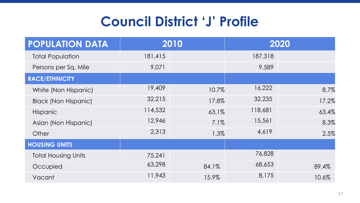### **Council District 'J' Profile**

| <b>POPULATION DATA</b>      |         | 2010  |         | 2020  |
|-----------------------------|---------|-------|---------|-------|
| <b>Total Population</b>     | 181,415 |       | 187,318 |       |
| Persons per Sq. Mile        | 9,071   |       | 9,589   |       |
| <b>RACE/ETHNICITY</b>       |         |       |         |       |
| White (Non Hispanic)        | 19,409  | 10.7% | 16,222  | 8.7%  |
| <b>Black (Non Hispanic)</b> | 32,215  | 17.8% | 32,235  | 17.2% |
| <b>Hispanic</b>             | 114,532 | 63.1% | 118,681 | 63.4% |
| Asian (Non Hispanic)        | 12,946  | 7.1%  | 15,561  | 8.3%  |
| Other                       | 2,313   | 1.3%  | 4,619   | 2.5%  |
| <b>HOUSING UNITS</b>        |         |       |         |       |
| <b>Total Housing Units</b>  | 75,241  |       | 76,828  |       |
| Occupied                    | 63,298  | 84.1% | 68,653  | 89.4% |
| Vacant                      | 11,943  | 15.9% | 8,175   | 10.6% |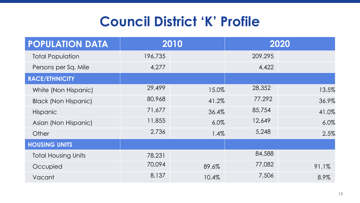## **Council District 'K' Profile**

| <b>POPULATION DATA</b>      |         | 2010  |         | 2020  |
|-----------------------------|---------|-------|---------|-------|
| <b>Total Population</b>     | 196,735 |       | 209,295 |       |
| Persons per Sq. Mile        | 4,277   |       | 4,422   |       |
| <b>RACE/ETHNICITY</b>       |         |       |         |       |
| White (Non Hispanic)        | 29,499  | 15.0% | 28,352  | 13.5% |
| <b>Black (Non Hispanic)</b> | 80,968  | 41.2% | 77,292  | 36.9% |
| <b>Hispanic</b>             | 71,677  | 36.4% | 85,754  | 41.0% |
| Asian (Non Hispanic)        | 11,855  | 6.0%  | 12,649  | 6.0%  |
| Other                       | 2,736   | 1.4%  | 5,248   | 2.5%  |
| <b>HOUSING UNITS</b>        |         |       |         |       |
| <b>Total Housing Units</b>  | 78,231  |       | 84,588  |       |
| Occupied                    | 70,094  | 89.6% | 77,082  | 91.1% |
| Vacant                      | 8,137   | 10.4% | 7,506   | 8.9%  |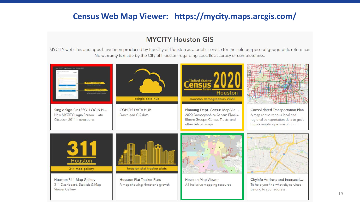#### **Census Web Map Viewer: https://mycity.maps.arcgis.com/**

#### **MYCITY Houston GIS**

MYCITY websites and apps have been produced by the City of Houston as a public service for the sole purpose of geographic reference. No warranty is made by the City of Houston regarding specific accuracy or completeness.



19